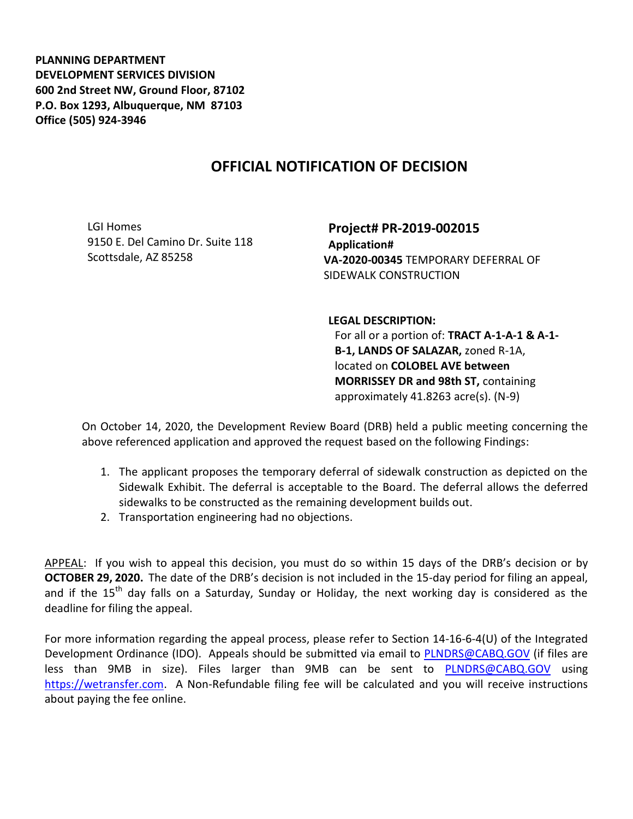**PLANNING DEPARTMENT DEVELOPMENT SERVICES DIVISION 600 2nd Street NW, Ground Floor, 87102 P.O. Box 1293, Albuquerque, NM 87103 Office (505) 924-3946** 

## **OFFICIAL NOTIFICATION OF DECISION**

LGI Homes 9150 E. Del Camino Dr. Suite 118 Scottsdale, AZ 85258

**Project# PR-2019-002015 Application# VA-2020-00345** TEMPORARY DEFERRAL OF SIDEWALK CONSTRUCTION

**LEGAL DESCRIPTION:**

For all or a portion of: **TRACT A-1-A-1 & A-1- B-1, LANDS OF SALAZAR,** zoned R-1A, located on **COLOBEL AVE between MORRISSEY DR and 98th ST,** containing approximately 41.8263 acre(s). (N-9)

On October 14, 2020, the Development Review Board (DRB) held a public meeting concerning the above referenced application and approved the request based on the following Findings:

- 1. The applicant proposes the temporary deferral of sidewalk construction as depicted on the Sidewalk Exhibit. The deferral is acceptable to the Board. The deferral allows the deferred sidewalks to be constructed as the remaining development builds out.
- 2. Transportation engineering had no objections.

APPEAL: If you wish to appeal this decision, you must do so within 15 days of the DRB's decision or by **OCTOBER 29, 2020.** The date of the DRB's decision is not included in the 15-day period for filing an appeal, and if the  $15<sup>th</sup>$  day falls on a Saturday, Sunday or Holiday, the next working day is considered as the deadline for filing the appeal.

For more information regarding the appeal process, please refer to Section 14-16-6-4(U) of the Integrated Development Ordinance (IDO). Appeals should be submitted via email to **PLNDRS@CABQ.GOV** (if files are less than 9MB in size). Files larger than 9MB can be sent to [PLNDRS@CABQ.GOV](mailto:PLNDRS@CABQ.GOV) using [https://wetransfer.com.](https://wetransfer.com/) A Non-Refundable filing fee will be calculated and you will receive instructions about paying the fee online.